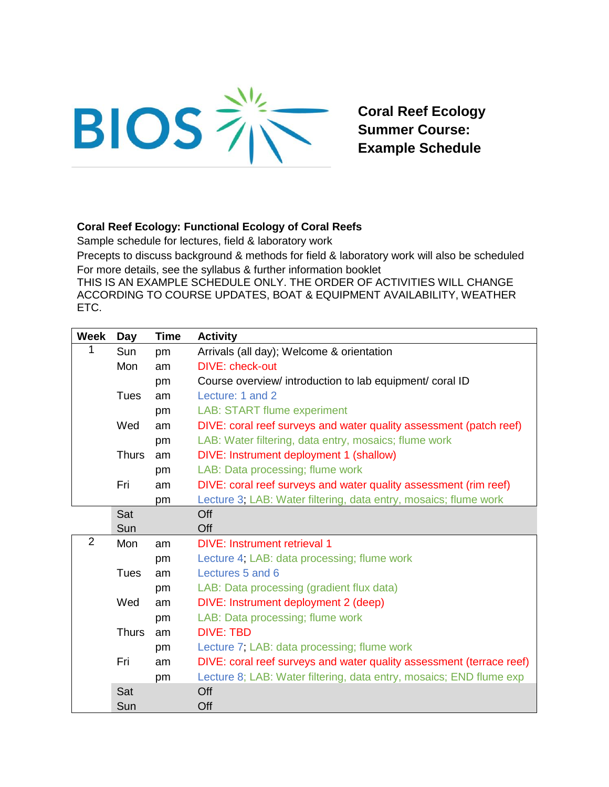

**Coral Reef Ecology Summer Course: Example Schedule**

## **Coral Reef Ecology: Functional Ecology of Coral Reefs**

Sample schedule for lectures, field & laboratory work

Precepts to discuss background & methods for field & laboratory work will also be scheduled For more details, see the syllabus & further information booklet

THIS IS AN EXAMPLE SCHEDULE ONLY. THE ORDER OF ACTIVITIES WILL CHANGE ACCORDING TO COURSE UPDATES, BOAT & EQUIPMENT AVAILABILITY, WEATHER ETC.

| <b>Week</b>    | Day          | <b>Time</b> | <b>Activity</b>                                                      |
|----------------|--------------|-------------|----------------------------------------------------------------------|
| 1              | Sun          | pm          | Arrivals (all day); Welcome & orientation                            |
|                | Mon          | am          | <b>DIVE: check-out</b>                                               |
|                |              | pm          | Course overview/ introduction to lab equipment/ coral ID             |
|                | <b>Tues</b>  | am          | Lecture: 1 and 2                                                     |
|                |              | pm          | <b>LAB: START flume experiment</b>                                   |
|                | Wed          | am          | DIVE: coral reef surveys and water quality assessment (patch reef)   |
|                |              | pm          | LAB: Water filtering, data entry, mosaics; flume work                |
|                | <b>Thurs</b> | am          | DIVE: Instrument deployment 1 (shallow)                              |
|                |              | pm          | LAB: Data processing; flume work                                     |
|                | Fri          | am          | DIVE: coral reef surveys and water quality assessment (rim reef)     |
|                |              | pm          | Lecture 3; LAB: Water filtering, data entry, mosaics; flume work     |
|                | Sat          |             | Off                                                                  |
|                | Sun          |             | Off                                                                  |
| $\overline{2}$ | Mon          | am          | <b>DIVE: Instrument retrieval 1</b>                                  |
|                |              | pm          | Lecture 4; LAB: data processing; flume work                          |
|                | Tues         | am          | Lectures 5 and 6                                                     |
|                |              | pm          | LAB: Data processing (gradient flux data)                            |
|                | Wed          | am          | DIVE: Instrument deployment 2 (deep)                                 |
|                |              |             |                                                                      |
|                |              | pm          | LAB: Data processing; flume work                                     |
|                | <b>Thurs</b> | am          | <b>DIVE: TBD</b>                                                     |
|                |              | pm          | Lecture 7; LAB: data processing; flume work                          |
|                | Fri          | am          | DIVE: coral reef surveys and water quality assessment (terrace reef) |
|                |              | pm          | Lecture 8; LAB: Water filtering, data entry, mosaics; END flume exp  |
|                | Sat          |             | Off                                                                  |